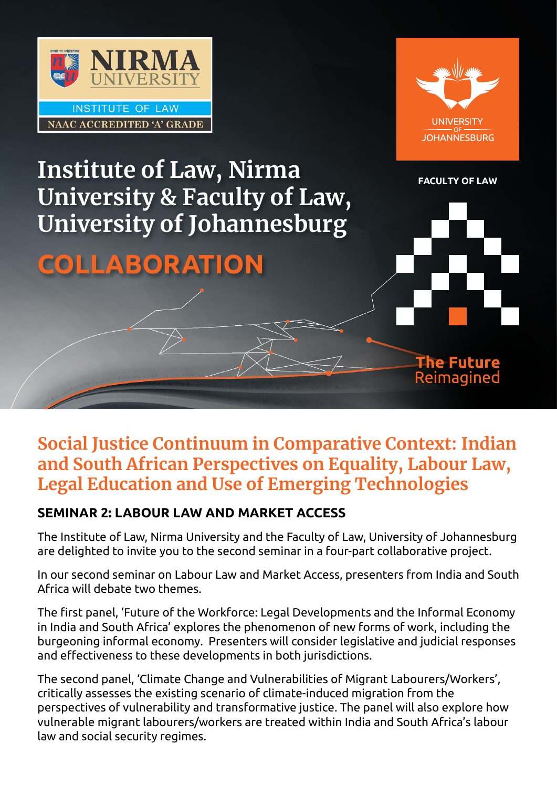



The Future Reimagined

## **FACULTY OF LAW, Nirma Executive LAW University & Faculty of Law, University of Johannesburg**

# **COLLABORATION**

### **Social Justice Continuum in Comparative Context: Indian and South African Perspectives on Equality, Labour Law, Legal Education and Use of Emerging Technologies**

### **SEMINAR 2: LABOUR LAW AND MARKET ACCESS**

The Institute of Law, Nirma University and the Faculty of Law, University of Johannesburg are delighted to invite you to the second seminar in a four-part collaborative project.

In our second seminar on Labour Law and Market Access, presenters from India and South Africa will debate two themes.

The first panel, 'Future of the Workforce: Legal Developments and the Informal Economy in India and South Africa' explores the phenomenon of new forms of work, including the burgeoning informal economy. Presenters will consider legislative and judicial responses and effectiveness to these developments in both jurisdictions.

The second panel, 'Climate Change and Vulnerabilities of Migrant Labourers/Workers', critically assesses the existing scenario of climate-induced migration from the perspectives of vulnerability and transformative justice. The panel will also explore how vulnerable migrant labourers/workers are treated within India and South Africa's labour law and social security regimes.